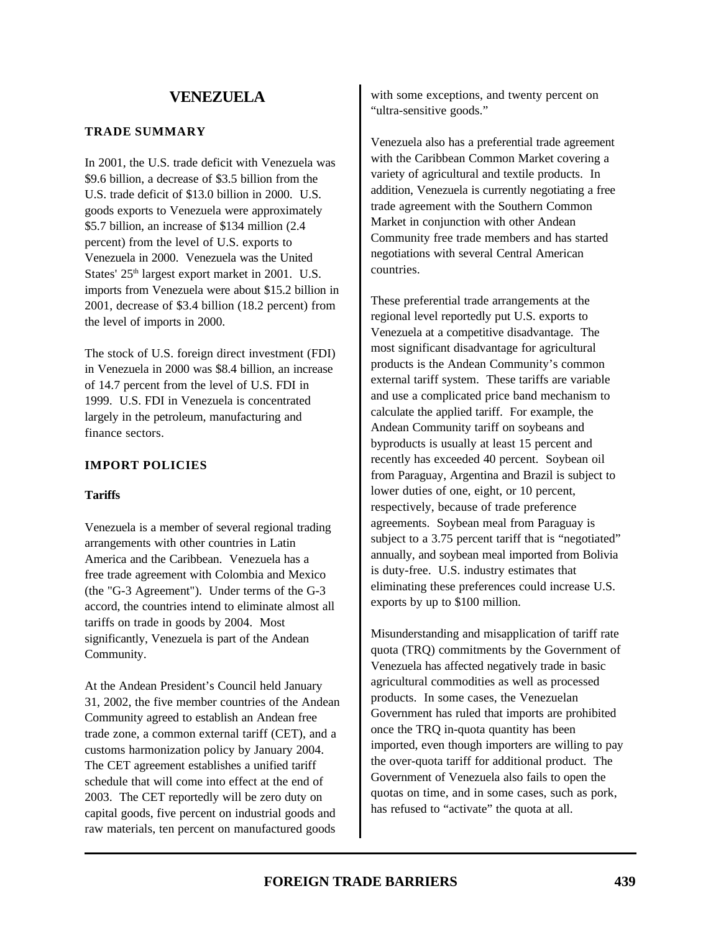#### **TRADE SUMMARY**

In 2001, the U.S. trade deficit with Venezuela was \$9.6 billion, a decrease of \$3.5 billion from the U.S. trade deficit of \$13.0 billion in 2000. U.S. goods exports to Venezuela were approximately \$5.7 billion, an increase of \$134 million (2.4 percent) from the level of U.S. exports to Venezuela in 2000. Venezuela was the United States' 25<sup>th</sup> largest export market in 2001. U.S. imports from Venezuela were about \$15.2 billion in 2001, decrease of \$3.4 billion (18.2 percent) from the level of imports in 2000.

The stock of U.S. foreign direct investment (FDI) in Venezuela in 2000 was \$8.4 billion, an increase of 14.7 percent from the level of U.S. FDI in 1999. U.S. FDI in Venezuela is concentrated largely in the petroleum, manufacturing and finance sectors.

### **IMPORT POLICIES**

#### **Tariffs**

Venezuela is a member of several regional trading arrangements with other countries in Latin America and the Caribbean. Venezuela has a free trade agreement with Colombia and Mexico (the "G-3 Agreement"). Under terms of the G-3 accord, the countries intend to eliminate almost all tariffs on trade in goods by 2004. Most significantly, Venezuela is part of the Andean Community.

At the Andean President's Council held January 31, 2002, the five member countries of the Andean Community agreed to establish an Andean free trade zone, a common external tariff (CET), and a customs harmonization policy by January 2004. The CET agreement establishes a unified tariff schedule that will come into effect at the end of 2003. The CET reportedly will be zero duty on capital goods, five percent on industrial goods and raw materials, ten percent on manufactured goods

with some exceptions, and twenty percent on "ultra-sensitive goods."

Venezuela also has a preferential trade agreement with the Caribbean Common Market covering a variety of agricultural and textile products. In addition, Venezuela is currently negotiating a free trade agreement with the Southern Common Market in conjunction with other Andean Community free trade members and has started negotiations with several Central American countries.

These preferential trade arrangements at the regional level reportedly put U.S. exports to Venezuela at a competitive disadvantage. The most significant disadvantage for agricultural products is the Andean Community's common external tariff system. These tariffs are variable and use a complicated price band mechanism to calculate the applied tariff. For example, the Andean Community tariff on soybeans and byproducts is usually at least 15 percent and recently has exceeded 40 percent. Soybean oil from Paraguay, Argentina and Brazil is subject to lower duties of one, eight, or 10 percent, respectively, because of trade preference agreements. Soybean meal from Paraguay is subject to a 3.75 percent tariff that is "negotiated" annually, and soybean meal imported from Bolivia is duty-free. U.S. industry estimates that eliminating these preferences could increase U.S. exports by up to \$100 million.

Misunderstanding and misapplication of tariff rate quota (TRQ) commitments by the Government of Venezuela has affected negatively trade in basic agricultural commodities as well as processed products. In some cases, the Venezuelan Government has ruled that imports are prohibited once the TRQ in-quota quantity has been imported, even though importers are willing to pay the over-quota tariff for additional product. The Government of Venezuela also fails to open the quotas on time, and in some cases, such as pork, has refused to "activate" the quota at all.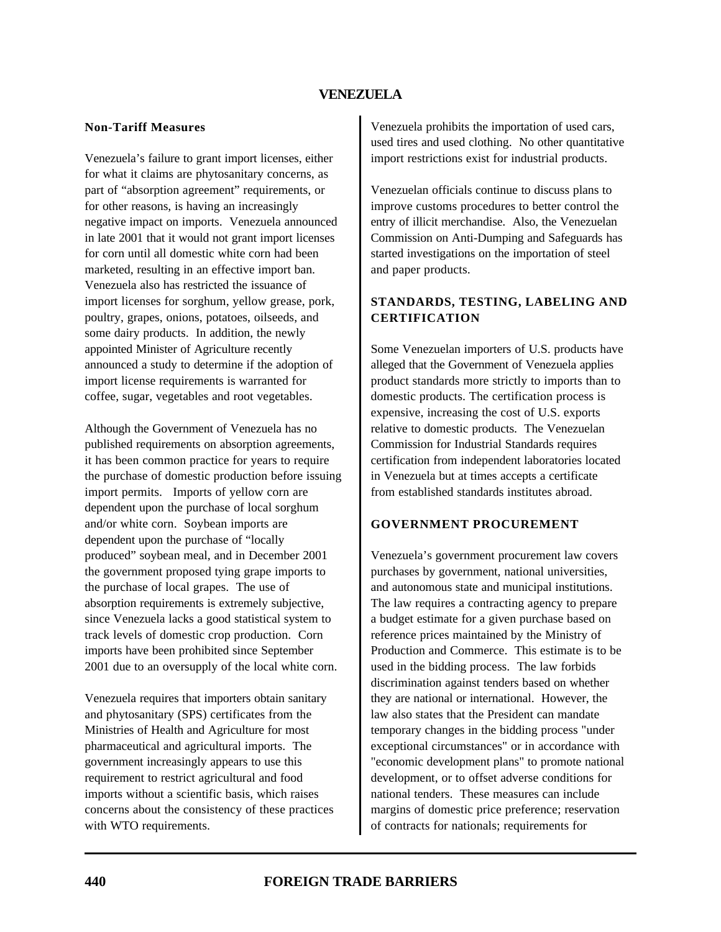#### **Non-Tariff Measures**

Venezuela's failure to grant import licenses, either for what it claims are phytosanitary concerns, as part of "absorption agreement" requirements, or for other reasons, is having an increasingly negative impact on imports. Venezuela announced in late 2001 that it would not grant import licenses for corn until all domestic white corn had been marketed, resulting in an effective import ban. Venezuela also has restricted the issuance of import licenses for sorghum, yellow grease, pork, poultry, grapes, onions, potatoes, oilseeds, and some dairy products. In addition, the newly appointed Minister of Agriculture recently announced a study to determine if the adoption of import license requirements is warranted for coffee, sugar, vegetables and root vegetables.

Although the Government of Venezuela has no published requirements on absorption agreements, it has been common practice for years to require the purchase of domestic production before issuing import permits. Imports of yellow corn are dependent upon the purchase of local sorghum and/or white corn. Soybean imports are dependent upon the purchase of "locally produced" soybean meal, and in December 2001 the government proposed tying grape imports to the purchase of local grapes. The use of absorption requirements is extremely subjective, since Venezuela lacks a good statistical system to track levels of domestic crop production. Corn imports have been prohibited since September 2001 due to an oversupply of the local white corn.

Venezuela requires that importers obtain sanitary and phytosanitary (SPS) certificates from the Ministries of Health and Agriculture for most pharmaceutical and agricultural imports. The government increasingly appears to use this requirement to restrict agricultural and food imports without a scientific basis, which raises concerns about the consistency of these practices with WTO requirements.

Venezuela prohibits the importation of used cars, used tires and used clothing. No other quantitative import restrictions exist for industrial products.

Venezuelan officials continue to discuss plans to improve customs procedures to better control the entry of illicit merchandise. Also, the Venezuelan Commission on Anti-Dumping and Safeguards has started investigations on the importation of steel and paper products.

### **STANDARDS, TESTING, LABELING AND CERTIFICATION**

Some Venezuelan importers of U.S. products have alleged that the Government of Venezuela applies product standards more strictly to imports than to domestic products. The certification process is expensive, increasing the cost of U.S. exports relative to domestic products. The Venezuelan Commission for Industrial Standards requires certification from independent laboratories located in Venezuela but at times accepts a certificate from established standards institutes abroad.

# **GOVERNMENT PROCUREMENT**

Venezuela's government procurement law covers purchases by government, national universities, and autonomous state and municipal institutions. The law requires a contracting agency to prepare a budget estimate for a given purchase based on reference prices maintained by the Ministry of Production and Commerce. This estimate is to be used in the bidding process. The law forbids discrimination against tenders based on whether they are national or international. However, the law also states that the President can mandate temporary changes in the bidding process "under exceptional circumstances" or in accordance with "economic development plans" to promote national development, or to offset adverse conditions for national tenders. These measures can include margins of domestic price preference; reservation of contracts for nationals; requirements for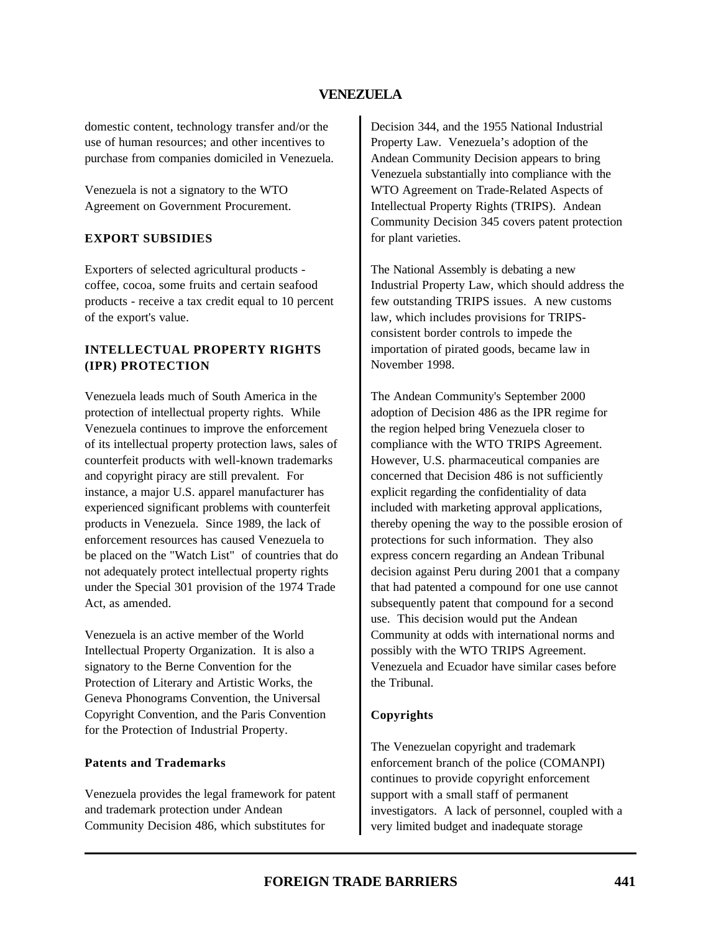domestic content, technology transfer and/or the use of human resources; and other incentives to purchase from companies domiciled in Venezuela.

Venezuela is not a signatory to the WTO Agreement on Government Procurement.

### **EXPORT SUBSIDIES**

Exporters of selected agricultural products coffee, cocoa, some fruits and certain seafood products - receive a tax credit equal to 10 percent of the export's value.

### **INTELLECTUAL PROPERTY RIGHTS (IPR) PROTECTION**

Venezuela leads much of South America in the protection of intellectual property rights. While Venezuela continues to improve the enforcement of its intellectual property protection laws, sales of counterfeit products with well-known trademarks and copyright piracy are still prevalent. For instance, a major U.S. apparel manufacturer has experienced significant problems with counterfeit products in Venezuela. Since 1989, the lack of enforcement resources has caused Venezuela to be placed on the "Watch List" of countries that do not adequately protect intellectual property rights under the Special 301 provision of the 1974 Trade Act, as amended.

Venezuela is an active member of the World Intellectual Property Organization. It is also a signatory to the Berne Convention for the Protection of Literary and Artistic Works, the Geneva Phonograms Convention, the Universal Copyright Convention, and the Paris Convention for the Protection of Industrial Property.

#### **Patents and Trademarks**

Venezuela provides the legal framework for patent and trademark protection under Andean Community Decision 486, which substitutes for

Decision 344, and the 1955 National Industrial Property Law. Venezuela's adoption of the Andean Community Decision appears to bring Venezuela substantially into compliance with the WTO Agreement on Trade-Related Aspects of Intellectual Property Rights (TRIPS). Andean Community Decision 345 covers patent protection for plant varieties.

The National Assembly is debating a new Industrial Property Law, which should address the few outstanding TRIPS issues. A new customs law, which includes provisions for TRIPSconsistent border controls to impede the importation of pirated goods, became law in November 1998.

The Andean Community's September 2000 adoption of Decision 486 as the IPR regime for the region helped bring Venezuela closer to compliance with the WTO TRIPS Agreement. However, U.S. pharmaceutical companies are concerned that Decision 486 is not sufficiently explicit regarding the confidentiality of data included with marketing approval applications, thereby opening the way to the possible erosion of protections for such information. They also express concern regarding an Andean Tribunal decision against Peru during 2001 that a company that had patented a compound for one use cannot subsequently patent that compound for a second use. This decision would put the Andean Community at odds with international norms and possibly with the WTO TRIPS Agreement. Venezuela and Ecuador have similar cases before the Tribunal.

### **Copyrights**

The Venezuelan copyright and trademark enforcement branch of the police (COMANPI) continues to provide copyright enforcement support with a small staff of permanent investigators. A lack of personnel, coupled with a very limited budget and inadequate storage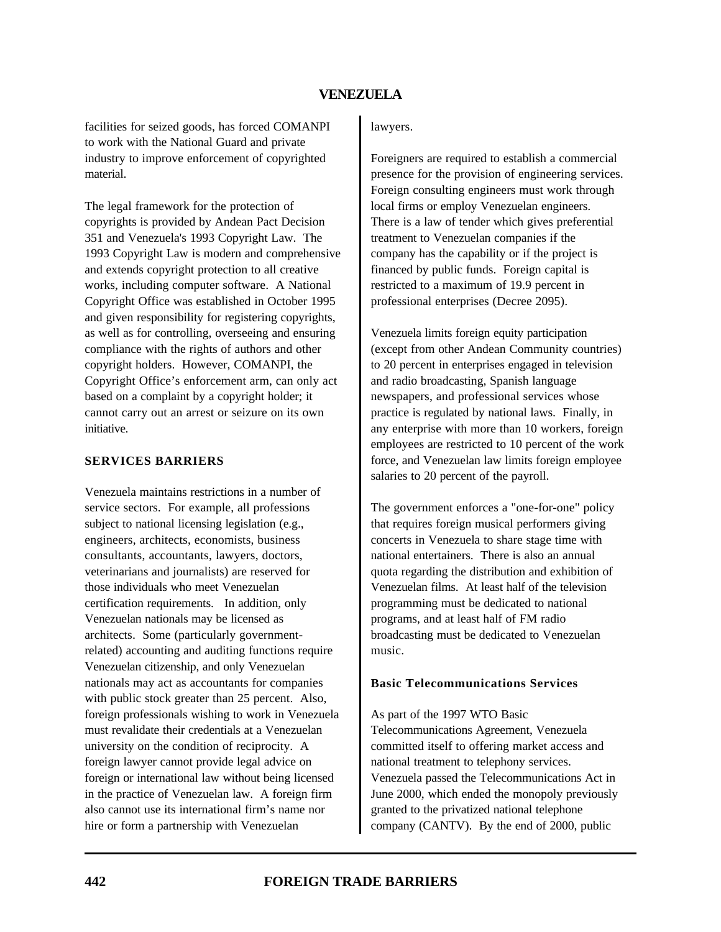facilities for seized goods, has forced COMANPI to work with the National Guard and private industry to improve enforcement of copyrighted material.

The legal framework for the protection of copyrights is provided by Andean Pact Decision 351 and Venezuela's 1993 Copyright Law. The 1993 Copyright Law is modern and comprehensive and extends copyright protection to all creative works, including computer software. A National Copyright Office was established in October 1995 and given responsibility for registering copyrights, as well as for controlling, overseeing and ensuring compliance with the rights of authors and other copyright holders. However, COMANPI, the Copyright Office's enforcement arm, can only act based on a complaint by a copyright holder; it cannot carry out an arrest or seizure on its own initiative.

#### **SERVICES BARRIERS**

Venezuela maintains restrictions in a number of service sectors. For example, all professions subject to national licensing legislation (e.g., engineers, architects, economists, business consultants, accountants, lawyers, doctors, veterinarians and journalists) are reserved for those individuals who meet Venezuelan certification requirements. In addition, only Venezuelan nationals may be licensed as architects. Some (particularly governmentrelated) accounting and auditing functions require Venezuelan citizenship, and only Venezuelan nationals may act as accountants for companies with public stock greater than 25 percent. Also, foreign professionals wishing to work in Venezuela must revalidate their credentials at a Venezuelan university on the condition of reciprocity. A foreign lawyer cannot provide legal advice on foreign or international law without being licensed in the practice of Venezuelan law. A foreign firm also cannot use its international firm's name nor hire or form a partnership with Venezuelan

#### lawyers.

Foreigners are required to establish a commercial presence for the provision of engineering services. Foreign consulting engineers must work through local firms or employ Venezuelan engineers. There is a law of tender which gives preferential treatment to Venezuelan companies if the company has the capability or if the project is financed by public funds. Foreign capital is restricted to a maximum of 19.9 percent in professional enterprises (Decree 2095).

Venezuela limits foreign equity participation (except from other Andean Community countries) to 20 percent in enterprises engaged in television and radio broadcasting, Spanish language newspapers, and professional services whose practice is regulated by national laws. Finally, in any enterprise with more than 10 workers, foreign employees are restricted to 10 percent of the work force, and Venezuelan law limits foreign employee salaries to 20 percent of the payroll.

The government enforces a "one-for-one" policy that requires foreign musical performers giving concerts in Venezuela to share stage time with national entertainers. There is also an annual quota regarding the distribution and exhibition of Venezuelan films. At least half of the television programming must be dedicated to national programs, and at least half of FM radio broadcasting must be dedicated to Venezuelan music.

#### **Basic Telecommunications Services**

As part of the 1997 WTO Basic

Telecommunications Agreement, Venezuela committed itself to offering market access and national treatment to telephony services. Venezuela passed the Telecommunications Act in June 2000, which ended the monopoly previously granted to the privatized national telephone company (CANTV). By the end of 2000, public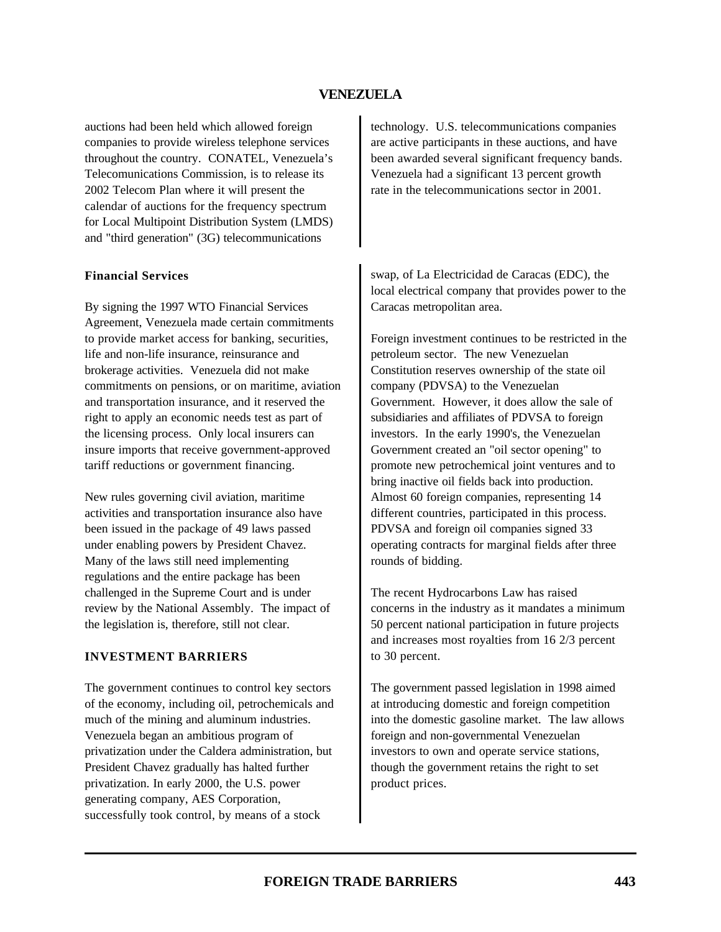auctions had been held which allowed foreign companies to provide wireless telephone services throughout the country. CONATEL, Venezuela's Telecomunications Commission, is to release its 2002 Telecom Plan where it will present the calendar of auctions for the frequency spectrum for Local Multipoint Distribution System (LMDS) and "third generation" (3G) telecommunications

#### **Financial Services**

By signing the 1997 WTO Financial Services Agreement, Venezuela made certain commitments to provide market access for banking, securities, life and non-life insurance, reinsurance and brokerage activities. Venezuela did not make commitments on pensions, or on maritime, aviation and transportation insurance, and it reserved the right to apply an economic needs test as part of the licensing process. Only local insurers can insure imports that receive government-approved tariff reductions or government financing.

New rules governing civil aviation, maritime activities and transportation insurance also have been issued in the package of 49 laws passed under enabling powers by President Chavez. Many of the laws still need implementing regulations and the entire package has been challenged in the Supreme Court and is under review by the National Assembly. The impact of the legislation is, therefore, still not clear.

#### **INVESTMENT BARRIERS**

The government continues to control key sectors of the economy, including oil, petrochemicals and much of the mining and aluminum industries. Venezuela began an ambitious program of privatization under the Caldera administration, but President Chavez gradually has halted further privatization. In early 2000, the U.S. power generating company, AES Corporation, successfully took control, by means of a stock

technology. U.S. telecommunications companies are active participants in these auctions, and have been awarded several significant frequency bands. Venezuela had a significant 13 percent growth rate in the telecommunications sector in 2001.

swap, of La Electricidad de Caracas (EDC), the local electrical company that provides power to the Caracas metropolitan area.

Foreign investment continues to be restricted in the petroleum sector. The new Venezuelan Constitution reserves ownership of the state oil company (PDVSA) to the Venezuelan Government. However, it does allow the sale of subsidiaries and affiliates of PDVSA to foreign investors. In the early 1990's, the Venezuelan Government created an "oil sector opening" to promote new petrochemical joint ventures and to bring inactive oil fields back into production. Almost 60 foreign companies, representing 14 different countries, participated in this process. PDVSA and foreign oil companies signed 33 operating contracts for marginal fields after three rounds of bidding.

The recent Hydrocarbons Law has raised concerns in the industry as it mandates a minimum 50 percent national participation in future projects and increases most royalties from 16 2/3 percent to 30 percent.

The government passed legislation in 1998 aimed at introducing domestic and foreign competition into the domestic gasoline market. The law allows foreign and non-governmental Venezuelan investors to own and operate service stations, though the government retains the right to set product prices.